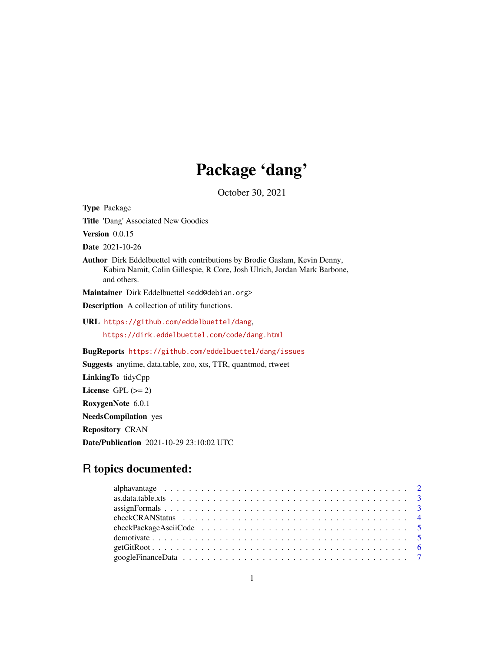# Package 'dang'

October 30, 2021

Title 'Dang' Associated New Goodies Version 0.0.15 Date 2021-10-26 Author Dirk Eddelbuettel with contributions by Brodie Gaslam, Kevin Denny, Kabira Namit, Colin Gillespie, R Core, Josh Ulrich, Jordan Mark Barbone, and others. Maintainer Dirk Eddelbuettel <edd@debian.org> Description A collection of utility functions. URL <https://github.com/eddelbuettel/dang>, <https://dirk.eddelbuettel.com/code/dang.html> BugReports <https://github.com/eddelbuettel/dang/issues> Suggests anytime, data.table, zoo, xts, TTR, quantmod, rtweet LinkingTo tidyCpp License GPL  $(>= 2)$ RoxygenNote 6.0.1 NeedsCompilation yes Repository CRAN

Date/Publication 2021-10-29 23:10:02 UTC

# R topics documented:

Type Package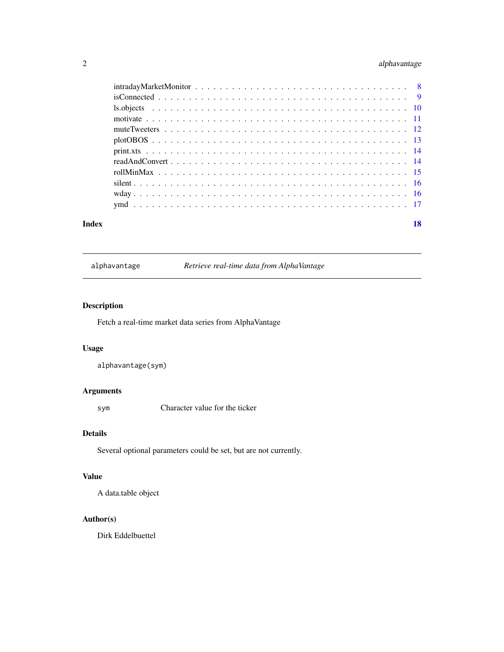# <span id="page-1-0"></span>2 alphavantage

| Index | 18 |
|-------|----|
|       |    |
|       |    |
|       |    |
|       |    |
|       |    |
|       |    |
|       |    |
|       |    |
|       |    |
|       |    |
|       |    |
|       |    |

| alphavantage |  |  |  |
|--------------|--|--|--|
|              |  |  |  |

alphavantage *Retrieve real-time data from AlphaVantage*

# Description

Fetch a real-time market data series from AlphaVantage

# Usage

```
alphavantage(sym)
```
# Arguments

sym Character value for the ticker

# Details

Several optional parameters could be set, but are not currently.

# Value

A data.table object

# Author(s)

Dirk Eddelbuettel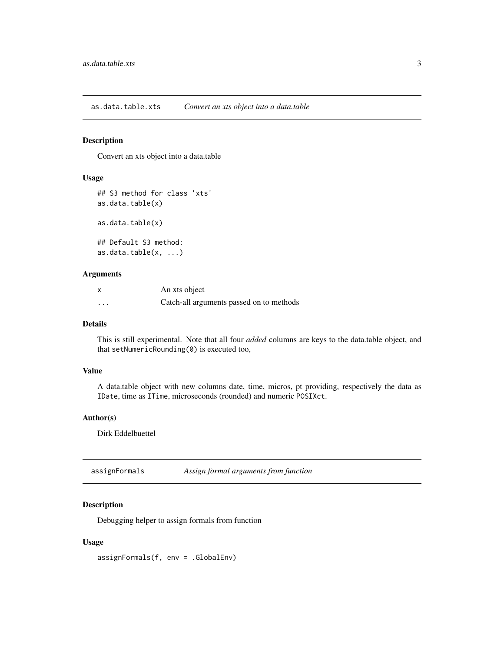<span id="page-2-0"></span>as.data.table.xts *Convert an xts object into a data.table*

# Description

Convert an xts object into a data.table

#### Usage

```
## S3 method for class 'xts'
as.data.table(x)
as.data.table(x)
## Default S3 method:
as.data.table(x, ...)
```
#### Arguments

| x | An xts object                            |
|---|------------------------------------------|
| . | Catch-all arguments passed on to methods |

#### Details

This is still experimental. Note that all four *added* columns are keys to the data.table object, and that setNumericRounding(0) is executed too,

#### Value

A data.table object with new columns date, time, micros, pt providing, respectively the data as IDate, time as ITime, microseconds (rounded) and numeric POSIXct.

# Author(s)

Dirk Eddelbuettel

assignFormals *Assign formal arguments from function*

# Description

Debugging helper to assign formals from function

#### Usage

assignFormals(f, env = .GlobalEnv)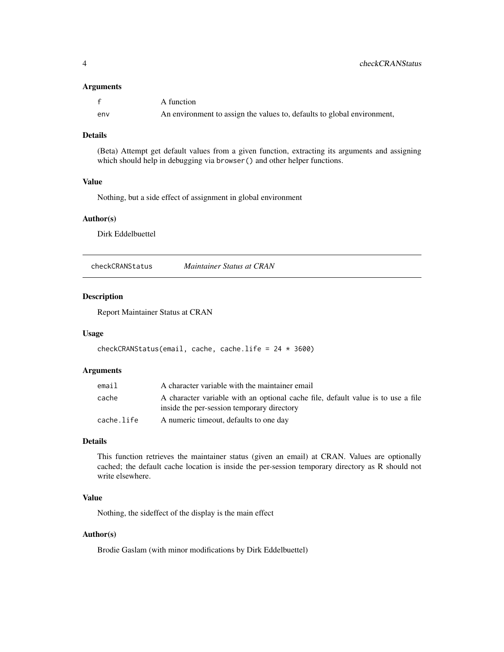#### <span id="page-3-0"></span>Arguments

|     | A function                                                              |
|-----|-------------------------------------------------------------------------|
| env | An environment to assign the values to, defaults to global environment, |

# Details

(Beta) Attempt get default values from a given function, extracting its arguments and assigning which should help in debugging via browser() and other helper functions.

# Value

Nothing, but a side effect of assignment in global environment

#### Author(s)

Dirk Eddelbuettel

checkCRANStatus *Maintainer Status at CRAN*

#### Description

Report Maintainer Status at CRAN

#### Usage

```
checkCRANStatus(email, cache, cache.life = 24 \times 3600)
```
#### Arguments

| email      | A character variable with the maintainer email                                                                                 |
|------------|--------------------------------------------------------------------------------------------------------------------------------|
| cache      | A character variable with an optional cache file, default value is to use a file<br>inside the per-session temporary directory |
| cache.life | A numeric timeout, defaults to one day                                                                                         |

# Details

This function retrieves the maintainer status (given an email) at CRAN. Values are optionally cached; the default cache location is inside the per-session temporary directory as R should not write elsewhere.

#### Value

Nothing, the sideffect of the display is the main effect

#### Author(s)

Brodie Gaslam (with minor modifications by Dirk Eddelbuettel)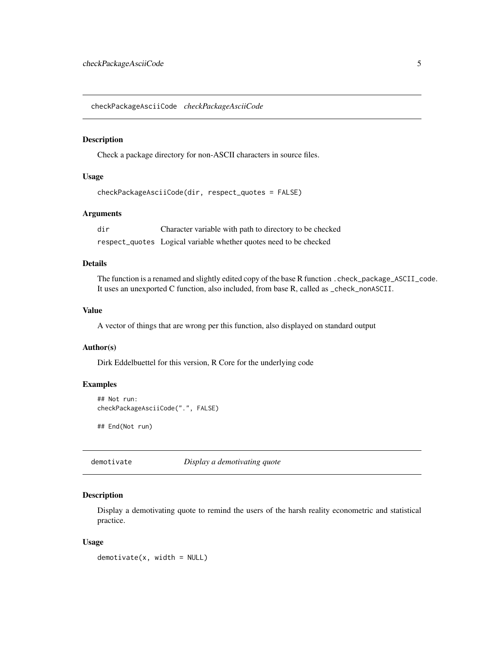<span id="page-4-0"></span>checkPackageAsciiCode *checkPackageAsciiCode*

# Description

Check a package directory for non-ASCII characters in source files.

# Usage

```
checkPackageAsciiCode(dir, respect_quotes = FALSE)
```
# Arguments

dir Character variable with path to directory to be checked respect\_quotes Logical variable whether quotes need to be checked

# Details

The function is a renamed and slightly edited copy of the base R function .check\_package\_ASCII\_code. It uses an unexported C function, also included, from base R, called as \_check\_nonASCII.

#### Value

A vector of things that are wrong per this function, also displayed on standard output

# Author(s)

Dirk Eddelbuettel for this version, R Core for the underlying code

# Examples

```
## Not run:
checkPackageAsciiCode(".", FALSE)
```
## End(Not run)

demotivate *Display a demotivating quote*

#### Description

Display a demotivating quote to remind the users of the harsh reality econometric and statistical practice.

#### Usage

 $demotivate(x, width = NULL)$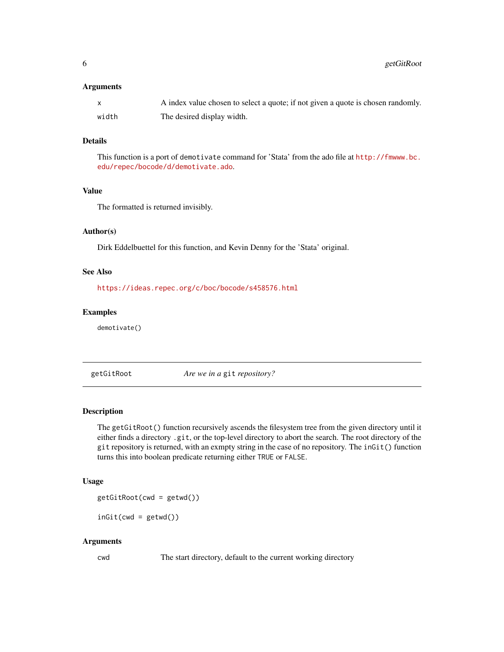#### <span id="page-5-0"></span>**Arguments**

|       | A index value chosen to select a quote; if not given a quote is chosen randomly. |
|-------|----------------------------------------------------------------------------------|
| width | The desired display width.                                                       |

# Details

This function is a port of demotivate command for 'Stata' from the ado file at [http://fmwww.bc.](http://fmwww.bc.edu/repec/bocode/d/demotivate.ado) [edu/repec/bocode/d/demotivate.ado](http://fmwww.bc.edu/repec/bocode/d/demotivate.ado).

# Value

The formatted is returned invisibly.

#### Author(s)

Dirk Eddelbuettel for this function, and Kevin Denny for the 'Stata' original.

#### See Also

<https://ideas.repec.org/c/boc/bocode/s458576.html>

# Examples

demotivate()

getGitRoot *Are we in a* git *repository?*

#### Description

The getGitRoot() function recursively ascends the filesystem tree from the given directory until it either finds a directory .git, or the top-level directory to abort the search. The root directory of the git repository is returned, with an exmpty string in the case of no repository. The inGit() function turns this into boolean predicate returning either TRUE or FALSE.

#### Usage

getGitRoot(cwd = getwd())

 $inGit(cwd = getwd())$ 

#### Arguments

cwd The start directory, default to the current working directory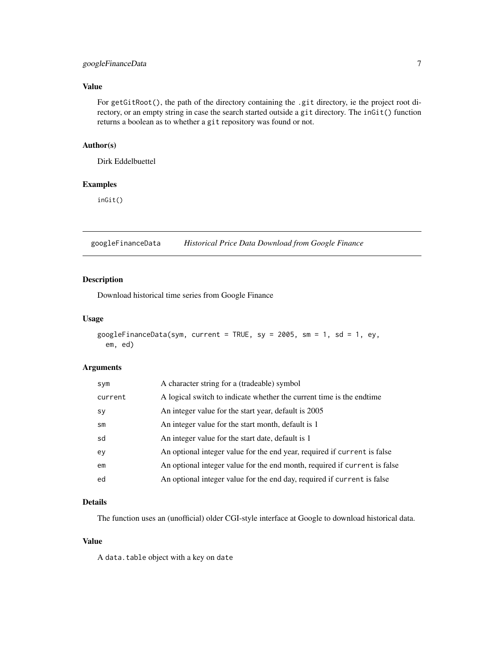# <span id="page-6-0"></span>googleFinanceData 7

# Value

For getGitRoot(), the path of the directory containing the .git directory, ie the project root directory, or an empty string in case the search started outside a git directory. The inGit() function returns a boolean as to whether a git repository was found or not.

# Author(s)

Dirk Eddelbuettel

#### Examples

inGit()

googleFinanceData *Historical Price Data Download from Google Finance*

#### Description

Download historical time series from Google Finance

# Usage

```
googleFinanceData(sym, current = TRUE, sy = 2005, sm = 1, sd = 1, ey,
 em, ed)
```
# Arguments

| sym       | A character string for a (tradeable) symbol                               |
|-----------|---------------------------------------------------------------------------|
| current   | A logical switch to indicate whether the current time is the endtime      |
| <b>SV</b> | An integer value for the start year, default is 2005                      |
| sm        | An integer value for the start month, default is 1                        |
| sd        | An integer value for the start date, default is 1                         |
| ey        | An optional integer value for the end year, required if current is false  |
| em        | An optional integer value for the end month, required if current is false |
| ed        | An optional integer value for the end day, required if current is false   |

#### Details

The function uses an (unofficial) older CGI-style interface at Google to download historical data.

#### Value

A data.table object with a key on date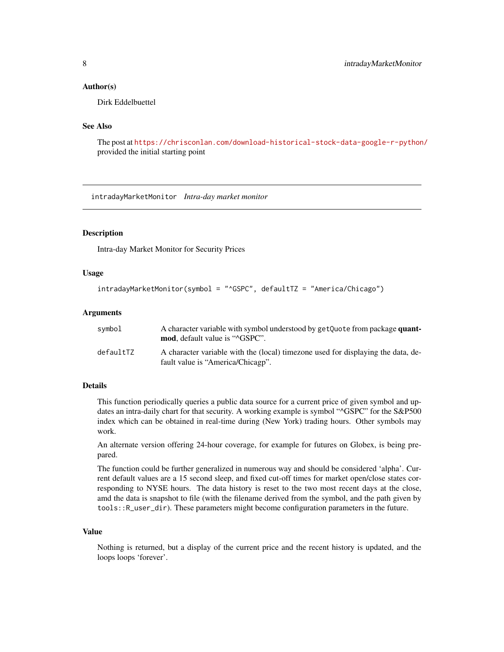#### <span id="page-7-0"></span>Author(s)

Dirk Eddelbuettel

# See Also

The post at <https://chrisconlan.com/download-historical-stock-data-google-r-python/> provided the initial starting point

intradayMarketMonitor *Intra-day market monitor*

#### Description

Intra-day Market Monitor for Security Prices

### Usage

```
intradayMarketMonitor(symbol = "^GSPC", defaultTZ = "America/Chicago")
```
#### Arguments

| symbol    | A character variable with symbol understood by getQuote from package quant-<br><b>mod.</b> default value is " <sup>^</sup> GSPC". |
|-----------|-----------------------------------------------------------------------------------------------------------------------------------|
| defaultTZ | A character variable with the (local) timezone used for displaying the data, de-<br>fault value is "America/Chicagp".             |

# Details

This function periodically queries a public data source for a current price of given symbol and updates an intra-daily chart for that security. A working example is symbol "^GSPC" for the S&P500 index which can be obtained in real-time during (New York) trading hours. Other symbols may work.

An alternate version offering 24-hour coverage, for example for futures on Globex, is being prepared.

The function could be further generalized in numerous way and should be considered 'alpha'. Current default values are a 15 second sleep, and fixed cut-off times for market open/close states corresponding to NYSE hours. The data history is reset to the two most recent days at the close, amd the data is snapshot to file (with the filename derived from the symbol, and the path given by tools::R\_user\_dir). These parameters might become configuration parameters in the future.

# Value

Nothing is returned, but a display of the current price and the recent history is updated, and the loops loops 'forever'.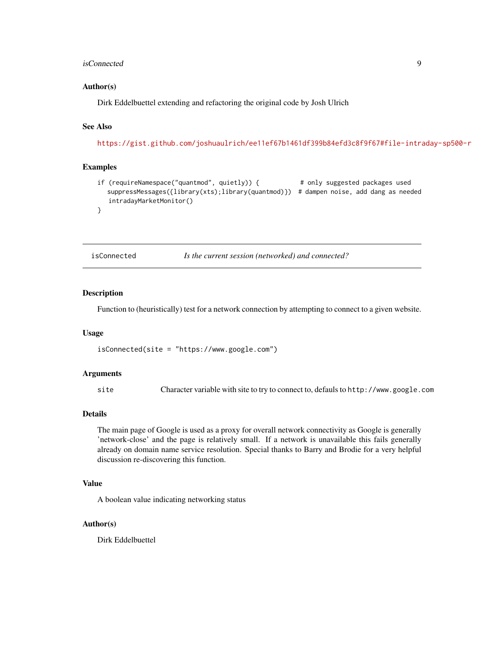#### <span id="page-8-0"></span>isConnected 9

#### Author(s)

Dirk Eddelbuettel extending and refactoring the original code by Josh Ulrich

# See Also

<https://gist.github.com/joshuaulrich/ee11ef67b1461df399b84efd3c8f9f67#file-intraday-sp500-r>

# Examples

```
if (requireNamespace("quantmod", quietly)) { # only suggested packages used
  suppressMessages({library(xts);library(quantmod)}) # dampen noise, add dang as needed
  intradayMarketMonitor()
}
```
isConnected *Is the current session (networked) and connected?*

#### Description

Function to (heuristically) test for a network connection by attempting to connect to a given website.

#### Usage

```
isConnected(site = "https://www.google.com")
```
#### Arguments

site Character variable with site to try to connect to, defauls to http://www.google.com

#### Details

The main page of Google is used as a proxy for overall network connectivity as Google is generally 'network-close' and the page is relatively small. If a network is unavailable this fails generally already on domain name service resolution. Special thanks to Barry and Brodie for a very helpful discussion re-discovering this function.

# Value

A boolean value indicating networking status

#### Author(s)

Dirk Eddelbuettel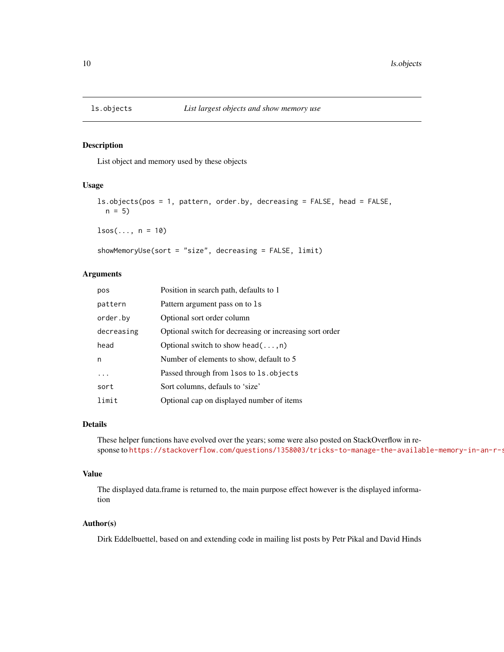<span id="page-9-0"></span>

List object and memory used by these objects

# Usage

```
ls.objects(pos = 1, pattern, order.by, decreasing = FALSE, head = FALSE,
 n = 5
```
 $lsos(..., n = 10)$ 

showMemoryUse(sort = "size", decreasing = FALSE, limit)

#### Arguments

| pos        | Position in search path, defaults to 1                  |
|------------|---------------------------------------------------------|
| pattern    | Pattern argument pass on to 1s                          |
| order.by   | Optional sort order column                              |
| decreasing | Optional switch for decreasing or increasing sort order |
| head       | Optional switch to show head $(\ldots, n)$              |
| n          | Number of elements to show, default to 5                |
|            | Passed through from 1sos to 1s. objects                 |
| sort       | Sort columns, defauls to 'size'                         |
| limit      | Optional cap on displayed number of items               |

# Details

These helper functions have evolved over the years; some were also posted on StackOverflow in response to https://stackoverflow.com/questions/1358003/tricks-to-manage-the-available-memory-in-an-r-s

#### Value

The displayed data.frame is returned to, the main purpose effect however is the displayed information

#### Author(s)

Dirk Eddelbuettel, based on and extending code in mailing list posts by Petr Pikal and David Hinds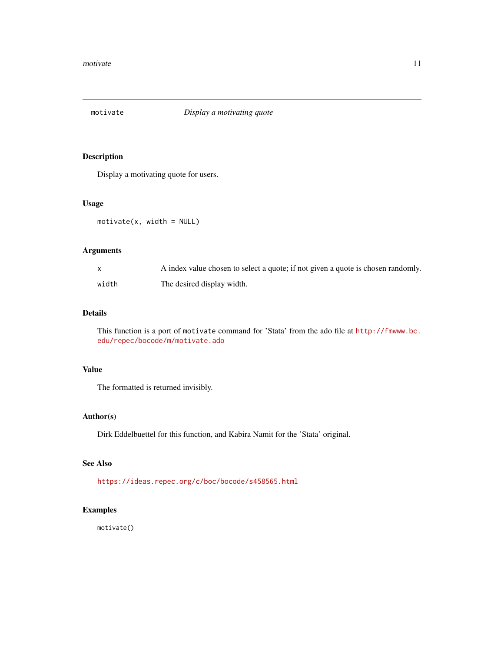<span id="page-10-0"></span>

Display a motivating quote for users.

# Usage

motivate(x, width = NULL)

# Arguments

|       | A index value chosen to select a quote; if not given a quote is chosen randomly. |
|-------|----------------------------------------------------------------------------------|
| width | The desired display width.                                                       |

# Details

This function is a port of motivate command for 'Stata' from the ado file at [http://fmwww.bc.](http://fmwww.bc.edu/repec/bocode/m/motivate.ado) [edu/repec/bocode/m/motivate.ado](http://fmwww.bc.edu/repec/bocode/m/motivate.ado)

# Value

The formatted is returned invisibly.

# Author(s)

Dirk Eddelbuettel for this function, and Kabira Namit for the 'Stata' original.

#### See Also

<https://ideas.repec.org/c/boc/bocode/s458565.html>

# Examples

motivate()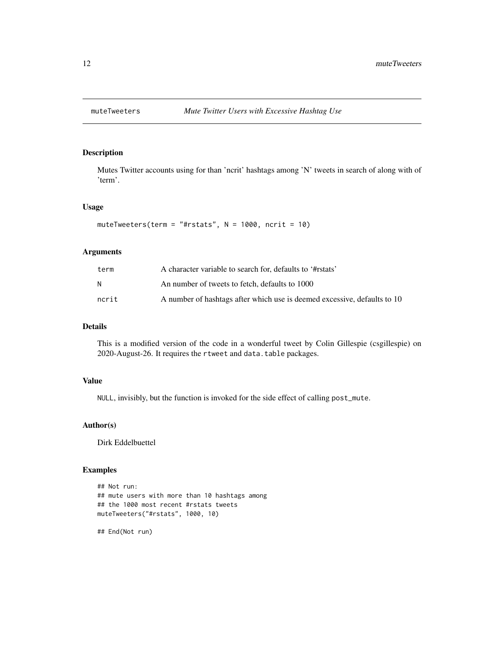<span id="page-11-0"></span>

Mutes Twitter accounts using for than 'ncrit' hashtags among 'N' tweets in search of along with of 'term'.

# Usage

```
muteTweeters(term = "#rstats", N = 1000, ncrit = 10)
```
# Arguments

| term  | A character variable to search for, defaults to '#rstats'                |
|-------|--------------------------------------------------------------------------|
| N     | An number of tweets to fetch, defaults to 1000                           |
| ncrit | A number of hashtags after which use is deemed excessive, defaults to 10 |

# Details

This is a modified version of the code in a wonderful tweet by Colin Gillespie (csgillespie) on 2020-August-26. It requires the rtweet and data.table packages.

# Value

NULL, invisibly, but the function is invoked for the side effect of calling post\_mute.

#### Author(s)

Dirk Eddelbuettel

#### Examples

```
## Not run:
## mute users with more than 10 hashtags among
## the 1000 most recent #rstats tweets
muteTweeters("#rstats", 1000, 10)
```
## End(Not run)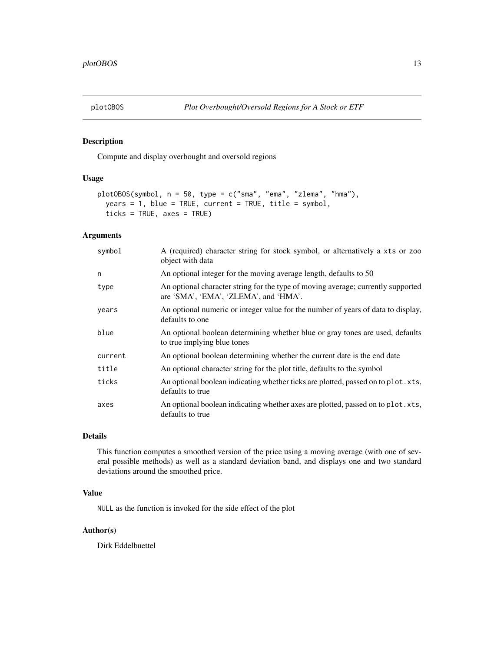<span id="page-12-0"></span>

Compute and display overbought and oversold regions

#### Usage

```
plotOBOS(symbol, n = 50, type = c("sma", "ema", "zlema", "hma"),
 years = 1, blue = TRUE, current = TRUE, title = symbol,
  ticks = TRUE, axes = TRUE)
```
# Arguments

| symbol  | A (required) character string for stock symbol, or alternatively a xts or zoo<br>object with data                         |
|---------|---------------------------------------------------------------------------------------------------------------------------|
| n       | An optional integer for the moving average length, defaults to 50                                                         |
| type    | An optional character string for the type of moving average; currently supported<br>are 'SMA', 'EMA', 'ZLEMA', and 'HMA'. |
| years   | An optional numeric or integer value for the number of years of data to display,<br>defaults to one                       |
| blue    | An optional boolean determining whether blue or gray tones are used, defaults<br>to true implying blue tones              |
| current | An optional boolean determining whether the current date is the end date                                                  |
| title   | An optional character string for the plot title, defaults to the symbol                                                   |
| ticks   | An optional boolean indicating whether ticks are plotted, passed on to plot.xts,<br>defaults to true                      |
| axes    | An optional boolean indicating whether axes are plotted, passed on to plot.xts,<br>defaults to true                       |

# Details

This function computes a smoothed version of the price using a moving average (with one of several possible methods) as well as a standard deviation band, and displays one and two standard deviations around the smoothed price.

# Value

NULL as the function is invoked for the side effect of the plot

# Author(s)

Dirk Eddelbuettel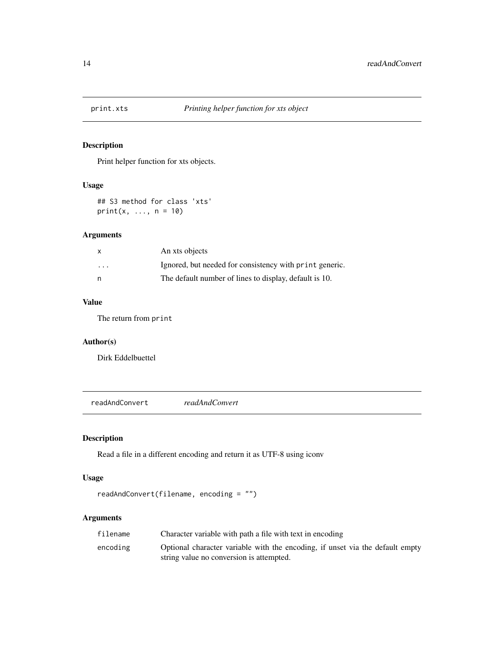<span id="page-13-0"></span>

Print helper function for xts objects.

# Usage

## S3 method for class 'xts'  $print(x, ..., n = 10)$ 

# Arguments

| x       | An xts objects                                          |
|---------|---------------------------------------------------------|
| $\cdot$ | Ignored, but needed for consistency with print generic. |
| n       | The default number of lines to display, default is 10.  |

# Value

The return from print

# Author(s)

Dirk Eddelbuettel

readAndConvert *readAndConvert*

# Description

Read a file in a different encoding and return it as UTF-8 using iconv

# Usage

```
readAndConvert(filename, encoding = "")
```
# Arguments

| filename | Character variable with path a file with text in encoding                                                                 |
|----------|---------------------------------------------------------------------------------------------------------------------------|
| encoding | Optional character variable with the encoding, if unset via the default empty<br>string value no conversion is attempted. |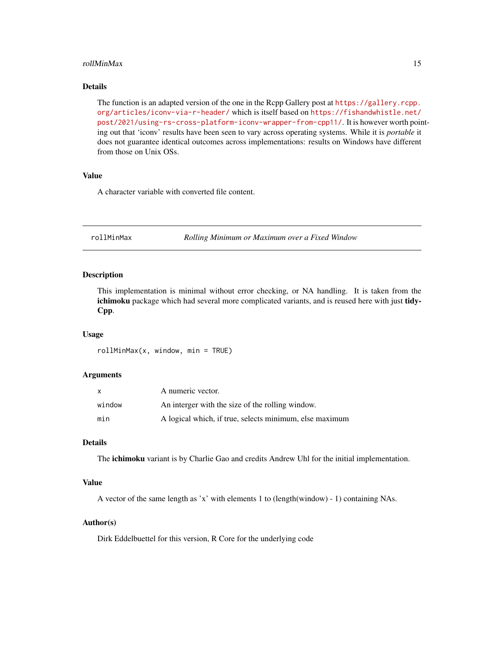#### <span id="page-14-0"></span>rollMinMax 15

# Details

The function is an adapted version of the one in the Rcpp Gallery post at [https://gallery.rcpp.](https://gallery.rcpp.org/articles/iconv-via-r-header/) [org/articles/iconv-via-r-header/](https://gallery.rcpp.org/articles/iconv-via-r-header/) which is itself based on [https://fishandwhistle.net/](https://fishandwhistle.net/post/2021/using-rs-cross-platform-iconv-wrapper-from-cpp11/) [post/2021/using-rs-cross-platform-iconv-wrapper-from-cpp11/](https://fishandwhistle.net/post/2021/using-rs-cross-platform-iconv-wrapper-from-cpp11/). It is however worth pointing out that 'iconv' results have been seen to vary across operating systems. While it is *portable* it does not guarantee identical outcomes across implementations: results on Windows have different from those on Unix OSs.

#### Value

A character variable with converted file content.

rollMinMax *Rolling Minimum or Maximum over a Fixed Window*

#### Description

This implementation is minimal without error checking, or NA handling. It is taken from the ichimoku package which had several more complicated variants, and is reused here with just tidy-Cpp.

#### Usage

rollMinMax(x, window, min = TRUE)

#### Arguments

| X      | A numeric vector.                                       |
|--------|---------------------------------------------------------|
| window | An interger with the size of the rolling window.        |
| min    | A logical which, if true, selects minimum, else maximum |

# Details

The **ichimoku** variant is by Charlie Gao and credits Andrew Uhl for the initial implementation.

#### Value

A vector of the same length as 'x' with elements 1 to (length(window) - 1) containing NAs.

#### Author(s)

Dirk Eddelbuettel for this version, R Core for the underlying code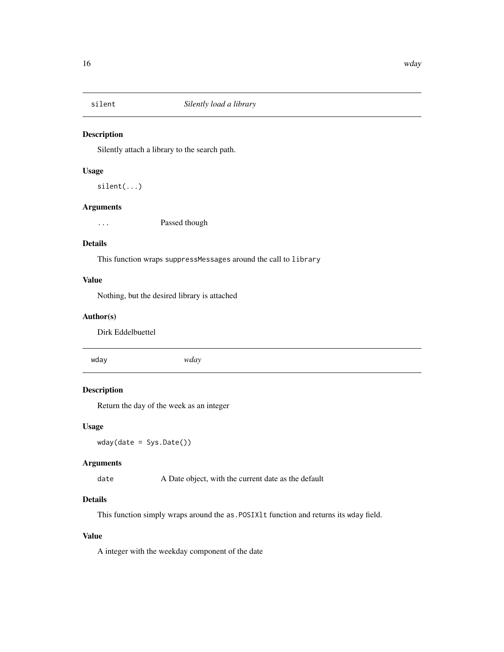<span id="page-15-0"></span>

Silently attach a library to the search path.

### Usage

silent(...)

# Arguments

... **Passed though** 

#### Details

This function wraps suppressMessages around the call to library

# Value

Nothing, but the desired library is attached

# Author(s)

Dirk Eddelbuettel

wday *wday*

# Description

Return the day of the week as an integer

# Usage

wday(date = Sys.Date())

#### Arguments

date A Date object, with the current date as the default

# Details

This function simply wraps around the as. POSIX1t function and returns its wday field.

# Value

A integer with the weekday component of the date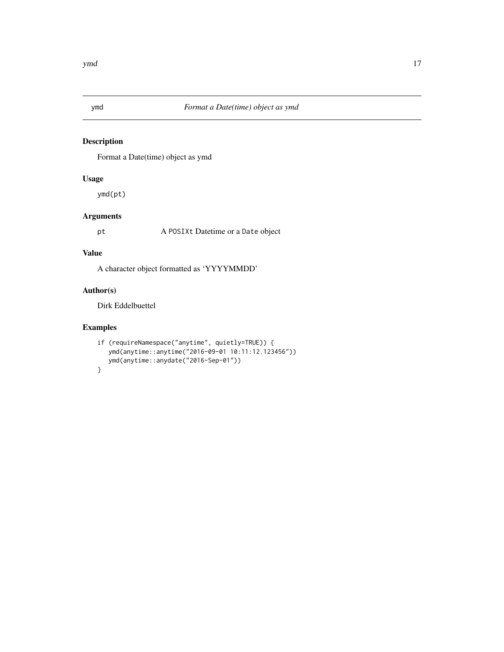<span id="page-16-0"></span>

Format a Date(time) object as ymd

# Usage

ymd(pt)

# Arguments

pt A POSIXt Datetime or a Date object

### Value

A character object formatted as 'YYYYMMDD'

# Author(s)

Dirk Eddelbuettel

# Examples

```
if (requireNamespace("anytime", quietly=TRUE)) {
  ymd(anytime::anytime("2016-09-01 10:11:12.123456"))
  ymd(anytime::anydate("2016-Sep-01"))
}
```